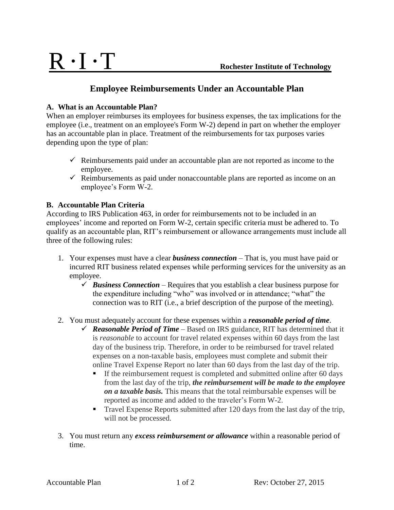## **Employee Reimbursements Under an Accountable Plan**

#### **A. What is an Accountable Plan?**

When an employer reimburses its employees for business expenses, the tax implications for the employee (i.e., treatment on an employee's Form W-2) depend in part on whether the employer has an accountable plan in place. Treatment of the reimbursements for tax purposes varies depending upon the type of plan:

- $\checkmark$  Reimbursements paid under an accountable plan are not reported as income to the employee.
- $\checkmark$  Reimbursements as paid under nonaccountable plans are reported as income on an employee's Form W-2.

#### **B. Accountable Plan Criteria**

According to IRS Publication 463, in order for reimbursements not to be included in an employees' income and reported on Form W-2, certain specific criteria must be adhered to. To qualify as an accountable plan, RIT's reimbursement or allowance arrangements must include all three of the following rules:

- 1. Your expenses must have a clear *business connection* That is, you must have paid or incurred RIT business related expenses while performing services for the university as an employee.
	- $\checkmark$  *Business Connection* Requires that you establish a clear business purpose for the expenditure including "who" was involved or in attendance; "what" the connection was to RIT (i.e., a brief description of the purpose of the meeting).
- 2. You must adequately account for these expenses within a *reasonable period of time*.
	- $\checkmark$  **Reasonable Period of Time** Based on IRS guidance, RIT has determined that it is *reasonable* to account for travel related expenses within 60 days from the last day of the business trip. Therefore, in order to be reimbursed for travel related expenses on a non-taxable basis, employees must complete and submit their online Travel Expense Report no later than 60 days from the last day of the trip.
		- If the reimbursement request is completed and submitted online after 60 days from the last day of the trip, *the reimbursement will be made to the employee on a taxable basis.* This means that the total reimbursable expenses will be reported as income and added to the traveler's Form W-2.
		- Travel Expense Reports submitted after 120 days from the last day of the trip, will not be processed.
- 3. You must return any *excess reimbursement or allowance* within a reasonable period of time.